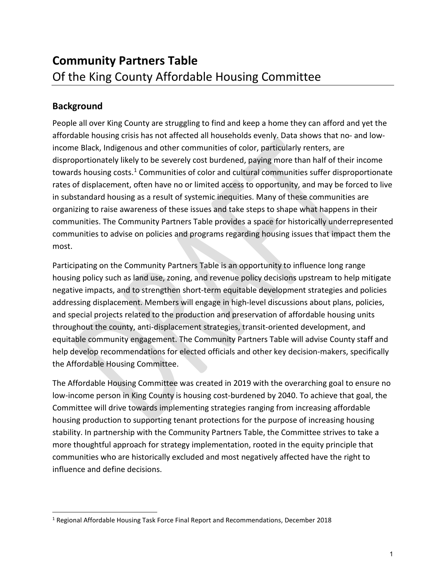## **Background**

People all over King County are struggling to find and keep a home they can afford and yet the affordable housing crisis has not affected all households evenly. Data shows that no- and lowincome Black, Indigenous and other communities of color, particularly renters, are disproportionately likely to be severely cost burdened, paying more than half of their income towards housing costs.<sup>[1](#page-0-0)</sup> Communities of color and cultural communities suffer disproportionate rates of displacement, often have no or limited access to opportunity, and may be forced to live in substandard housing as a result of systemic inequities. Many of these communities are organizing to raise awareness of these issues and take steps to shape what happens in their communities. The Community Partners Table provides a space for historically underrepresented communities to advise on policies and programs regarding housing issues that impact them the most.

Participating on the Community Partners Table is an opportunity to influence long range housing policy such as land use, zoning, and revenue policy decisions upstream to help mitigate negative impacts, and to strengthen short-term equitable development strategies and policies addressing displacement. Members will engage in high-level discussions about plans, policies, and special projects related to the production and preservation of affordable housing units throughout the county, anti-displacement strategies, transit-oriented development, and equitable community engagement. The Community Partners Table will advise County staff and help develop recommendations for elected officials and other key decision-makers, specifically the Affordable Housing Committee.

The Affordable Housing Committee was created in 2019 with the overarching goal to ensure no low-income person in King County is housing cost-burdened by 2040. To achieve that goal, the Committee will drive towards implementing strategies ranging from increasing affordable housing production to supporting tenant protections for the purpose of increasing housing stability. In partnership with the Community Partners Table, the Committee strives to take a more thoughtful approach for strategy implementation, rooted in the equity principle that communities who are historically excluded and most negatively affected have the right to influence and define decisions.

<span id="page-0-0"></span><sup>1</sup> Regional Affordable Housing Task Force Final Report and Recommendations, December 2018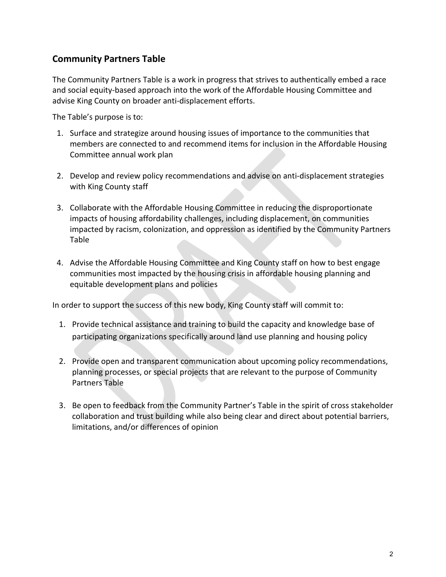### **Community Partners Table**

The Community Partners Table is a work in progress that strives to authentically embed a race and social equity-based approach into the work of the Affordable Housing Committee and advise King County on broader anti-displacement efforts.

The Table's purpose is to:

- 1. Surface and strategize around housing issues of importance to the communities that members are connected to and recommend items for inclusion in the Affordable Housing Committee annual work plan
- 2. Develop and review policy recommendations and advise on anti-displacement strategies with King County staff
- 3. Collaborate with the Affordable Housing Committee in reducing the disproportionate impacts of housing affordability challenges, including displacement, on communities impacted by racism, colonization, and oppression as identified by the Community Partners Table
- 4. Advise the Affordable Housing Committee and King County staff on how to best engage communities most impacted by the housing crisis in affordable housing planning and equitable development plans and policies

In order to support the success of this new body, King County staff will commit to:

- 1. Provide technical assistance and training to build the capacity and knowledge base of participating organizations specifically around land use planning and housing policy
- 2. Provide open and transparent communication about upcoming policy recommendations, planning processes, or special projects that are relevant to the purpose of Community Partners Table
- 3. Be open to feedback from the Community Partner's Table in the spirit of cross stakeholder collaboration and trust building while also being clear and direct about potential barriers, limitations, and/or differences of opinion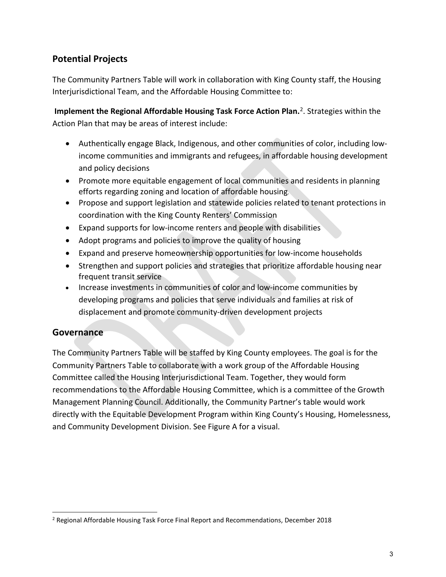## **Potential Projects**

The Community Partners Table will work in collaboration with King County staff, the Housing Interjurisdictional Team, and the Affordable Housing Committee to:

 **Implement the Regional Affordable Housing Task Force Action Plan.** [2](#page-2-0). Strategies within the Action Plan that may be areas of interest include:

- Authentically engage Black, Indigenous, and other communities of color, including lowincome communities and immigrants and refugees, in affordable housing development and policy decisions
- Promote more equitable engagement of local communities and residents in planning efforts regarding zoning and location of affordable housing.
- Propose and support legislation and statewide policies related to tenant protections in coordination with the King County Renters' Commission
- Expand supports for low-income renters and people with disabilities
- Adopt programs and policies to improve the quality of housing
- Expand and preserve homeownership opportunities for low-income households
- Strengthen and support policies and strategies that prioritize affordable housing near frequent transit service
- Increase investments in communities of color and low-income communities by developing programs and policies that serve individuals and families at risk of displacement and promote community-driven development projects

### **Governance**

The Community Partners Table will be staffed by King County employees. The goal is for the Community Partners Table to collaborate with a work group of the Affordable Housing Committee called the Housing Interjurisdictional Team. Together, they would form recommendations to the Affordable Housing Committee, which is a committee of the Growth Management Planning Council. Additionally, the Community Partner's table would work directly with the Equitable Development Program within King County's Housing, Homelessness, and Community Development Division. See Figure A for a visual.

<span id="page-2-0"></span><sup>2</sup> Regional Affordable Housing Task Force Final Report and Recommendations, December 2018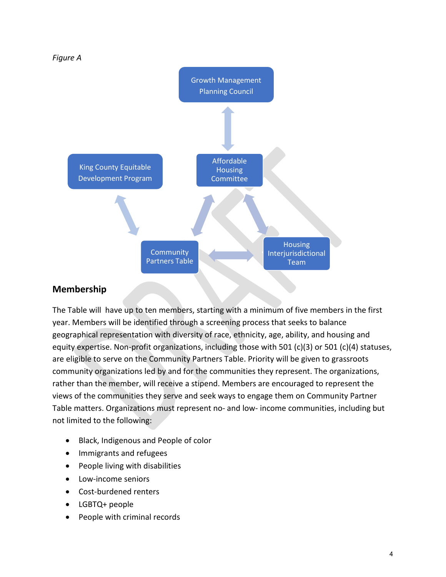

# **Membership**

The Table will have up to ten members, starting with a minimum of five members in the first year. Members will be identified through a screening process that seeks to balance geographical representation with diversity of race, ethnicity, age, ability, and housing and equity expertise. Non-profit organizations, including those with 501 (c)(3) or 501 (c)(4) statuses, are eligible to serve on the Community Partners Table. Priority will be given to grassroots community organizations led by and for the communities they represent. The organizations, rather than the member, will receive a stipend. Members are encouraged to represent the views of the communities they serve and seek ways to engage them on Community Partner Table matters. Organizations must represent no- and low- income communities, including but not limited to the following:

- Black, Indigenous and People of color
- Immigrants and refugees
- People living with disabilities
- Low-income seniors
- Cost-burdened renters
- LGBTQ+ people
- People with criminal records